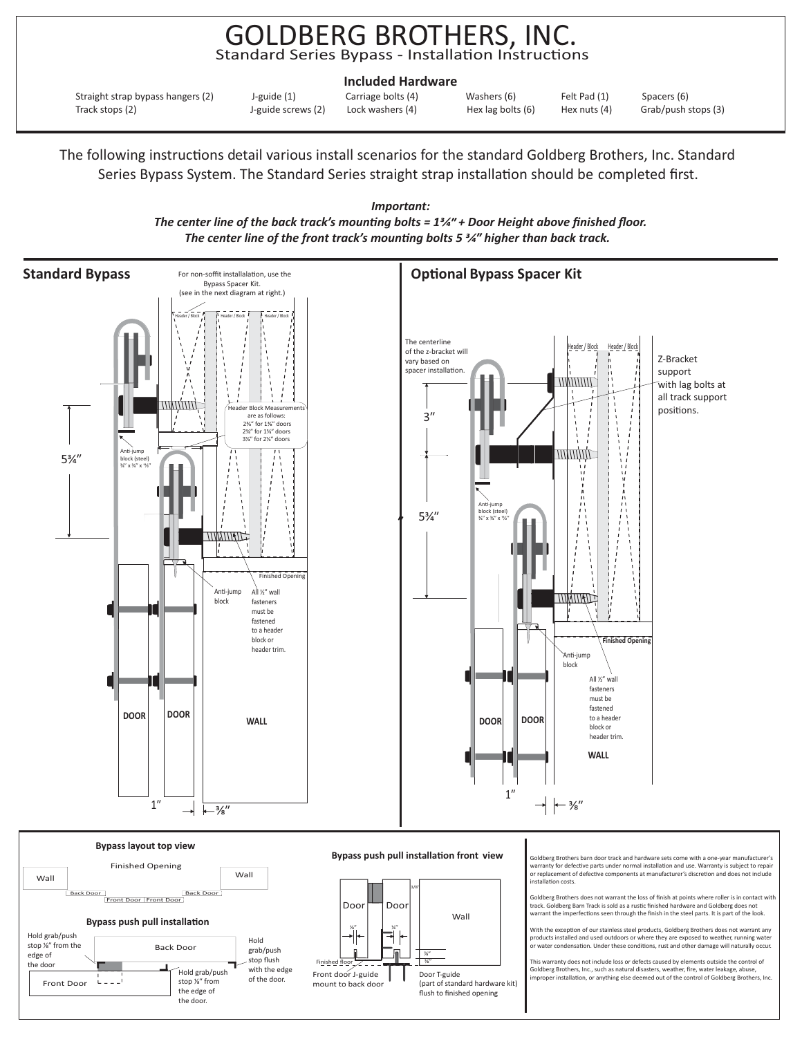## GOLDBERG BROTHERS, INC. Standard Series Bypass - Installation Instructions

|                                                                                           | <b>Included Hardware</b>               |                                    |                              |                                    |
|-------------------------------------------------------------------------------------------|----------------------------------------|------------------------------------|------------------------------|------------------------------------|
| J-guide (1)<br>Straight strap bypass hangers (2)<br>J-guide screws (2)<br>Track stops (2) | Carriage bolts (4)<br>Lock washers (4) | Washers (6)<br>Hex lag bolts $(6)$ | Felt Pad (1)<br>Hex nuts (4) | Spacers (6)<br>Grab/push stops (3) |

The following instructions detail various install scenarios for the standard Goldberg Brothers, Inc. Standard Series Bypass System. The Standard Series straight strap installation should be completed first.



finished floor

(part of standard hardware kit) flush to finished opening

Door T-guide

Front door J-guide mount to back door

with the edge of the door.

Hold grab/push stop 1/<sub>8</sub>" from the edge of the door.

Front Door

*The center line of the back track's mounting bolts = 1<sup>3</sup>/4<sup>"</sup> + Door Height above finished floor. Important: The center line of the front track's mounting bolts 5 <sup>3</sup>/4<sup><i>m*</sup> higher than back track.

> This warranty does not include loss or defects caused by elements outside the control of Goldberg Brothers, Inc., such as natural disasters, weather, fire, water leakage, abuse,<br>improper installation, or anything else deemed out of the control of Goldberg Brothers, Inc.